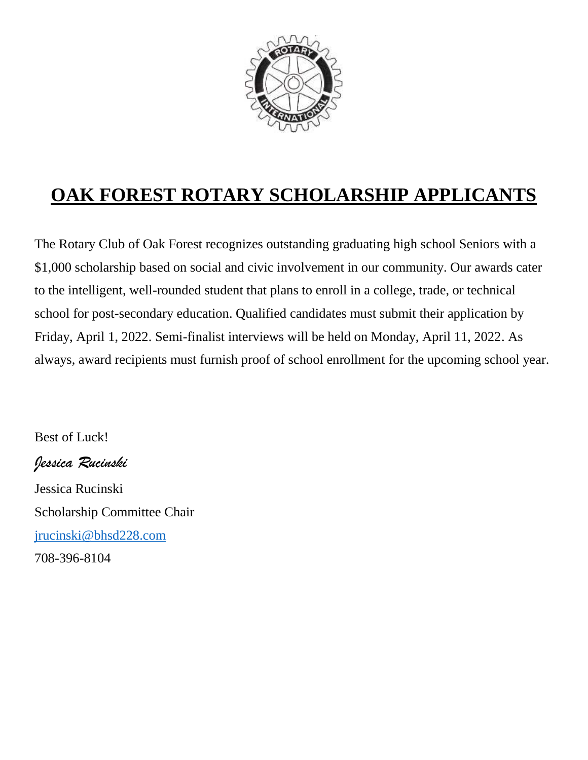

# **OAK FOREST ROTARY SCHOLARSHIP APPLICANTS**

The Rotary Club of Oak Forest recognizes outstanding graduating high school Seniors with a \$1,000 scholarship based on social and civic involvement in our community. Our awards cater to the intelligent, well-rounded student that plans to enroll in a college, trade, or technical school for post-secondary education. Qualified candidates must submit their application by Friday, April 1, 2022. Semi-finalist interviews will be held on Monday, April 11, 2022. As always, award recipients must furnish proof of school enrollment for the upcoming school year.

Best of Luck!

*Jessica Rucinski* Jessica Rucinski Scholarship Committee Chair [jrucinski@bhsd228.com](mailto:jrucinski@bhsd228.com) 708-396-8104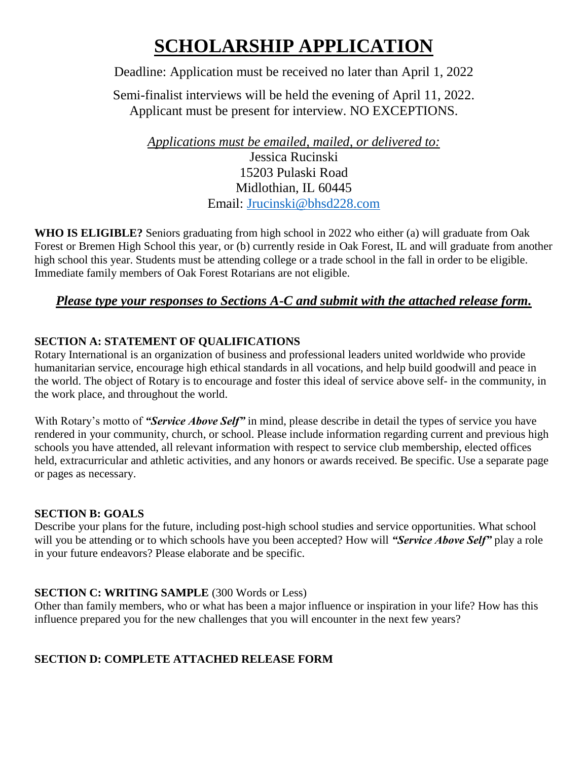# **SCHOLARSHIP APPLICATION**

### Deadline: Application must be received no later than April 1, 2022

Semi-finalist interviews will be held the evening of April 11, 2022. Applicant must be present for interview. NO EXCEPTIONS.

*Applications must be emailed, mailed, or delivered to:* Jessica Rucinski 15203 Pulaski Road Midlothian, IL 60445 Email: [Jrucinski@bhsd228.com](mailto:Jrucinski@bhsd228.com)

**WHO IS ELIGIBLE?** Seniors graduating from high school in 2022 who either (a) will graduate from Oak Forest or Bremen High School this year, or (b) currently reside in Oak Forest, IL and will graduate from another high school this year. Students must be attending college or a trade school in the fall in order to be eligible. Immediate family members of Oak Forest Rotarians are not eligible.

### *Please type your responses to Sections A-C and submit with the attached release form.*

#### **SECTION A: STATEMENT OF QUALIFICATIONS**

Rotary International is an organization of business and professional leaders united worldwide who provide humanitarian service, encourage high ethical standards in all vocations, and help build goodwill and peace in the world. The object of Rotary is to encourage and foster this ideal of service above self- in the community, in the work place, and throughout the world.

With Rotary's motto of "Service *Above Self*" in mind, please describe in detail the types of service you have rendered in your community, church, or school. Please include information regarding current and previous high schools you have attended, all relevant information with respect to service club membership, elected offices held, extracurricular and athletic activities, and any honors or awards received. Be specific. Use a separate page or pages as necessary.

#### **SECTION B: GOALS**

Describe your plans for the future, including post-high school studies and service opportunities. What school will you be attending or to which schools have you been accepted? How will *"Service Above Self"* play a role in your future endeavors? Please elaborate and be specific.

#### **SECTION C: WRITING SAMPLE** (300 Words or Less)

Other than family members, who or what has been a major influence or inspiration in your life? How has this influence prepared you for the new challenges that you will encounter in the next few years?

### **SECTION D: COMPLETE ATTACHED RELEASE FORM**